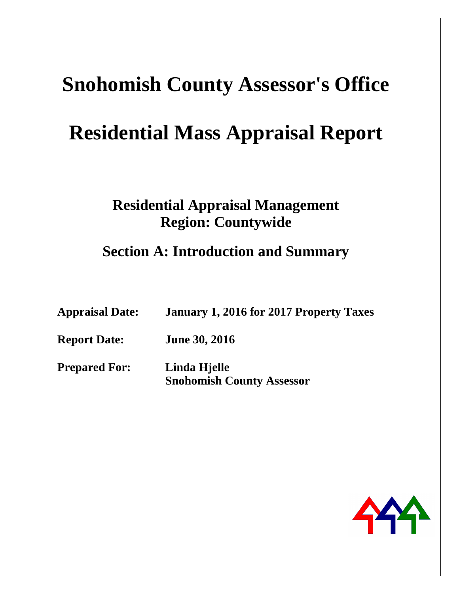# **Residential Mass Appraisal Report**

# **Residential Appraisal Management Region: Countywide**

**Section A: Introduction and Summary** 

| <b>Appraisal Date:</b> | January 1, 2016 for 2017 Property Taxes          |
|------------------------|--------------------------------------------------|
| <b>Report Date:</b>    | <b>June 30, 2016</b>                             |
| <b>Prepared For:</b>   | Linda Hjelle<br><b>Snohomish County Assessor</b> |

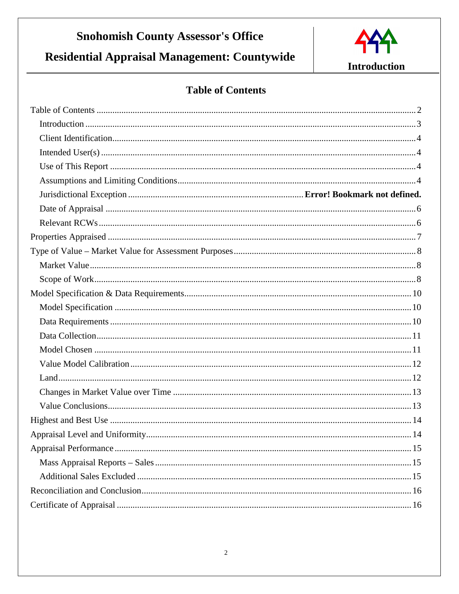Residential Appraisal Management: Countywide



**Introduction** 

# **Table of Contents**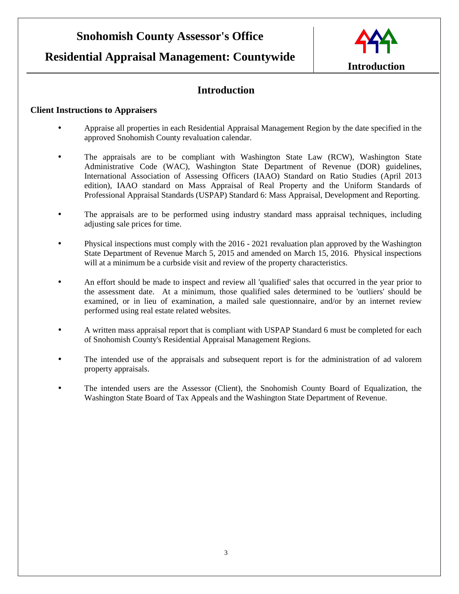### **Residential Appraisal Management: Countywide**



### **Introduction**

#### **Client Instructions to Appraisers**

- Appraise all properties in each Residential Appraisal Management Region by the date specified in the approved Snohomish County revaluation calendar.
- The appraisals are to be compliant with Washington State Law (RCW), Washington State Administrative Code (WAC), Washington State Department of Revenue (DOR) guidelines, International Association of Assessing Officers (IAAO) Standard on Ratio Studies (April 2013 edition), IAAO standard on Mass Appraisal of Real Property and the Uniform Standards of Professional Appraisal Standards (USPAP) Standard 6: Mass Appraisal, Development and Reporting.
- The appraisals are to be performed using industry standard mass appraisal techniques, including adjusting sale prices for time.
- Physical inspections must comply with the 2016 2021 revaluation plan approved by the Washington State Department of Revenue March 5, 2015 and amended on March 15, 2016. Physical inspections will at a minimum be a curbside visit and review of the property characteristics.
- An effort should be made to inspect and review all 'qualified' sales that occurred in the year prior to the assessment date. At a minimum, those qualified sales determined to be 'outliers' should be examined, or in lieu of examination, a mailed sale questionnaire, and/or by an internet review performed using real estate related websites.
- A written mass appraisal report that is compliant with USPAP Standard 6 must be completed for each of Snohomish County's Residential Appraisal Management Regions.
- The intended use of the appraisals and subsequent report is for the administration of ad valorem property appraisals.
- The intended users are the Assessor (Client), the Snohomish County Board of Equalization, the Washington State Board of Tax Appeals and the Washington State Department of Revenue.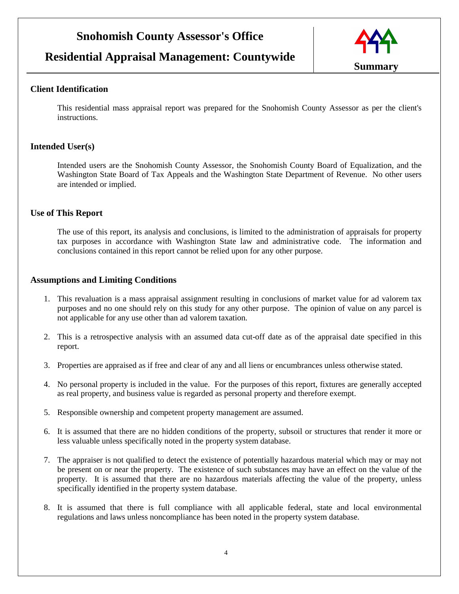### **Residential Appraisal Management: Countywide**



#### **Client Identification**

This residential mass appraisal report was prepared for the Snohomish County Assessor as per the client's instructions.

#### **Intended User(s)**

Intended users are the Snohomish County Assessor, the Snohomish County Board of Equalization, and the Washington State Board of Tax Appeals and the Washington State Department of Revenue. No other users are intended or implied.

#### **Use of This Report**

The use of this report, its analysis and conclusions, is limited to the administration of appraisals for property tax purposes in accordance with Washington State law and administrative code. The information and conclusions contained in this report cannot be relied upon for any other purpose.

#### **Assumptions and Limiting Conditions**

- 1. This revaluation is a mass appraisal assignment resulting in conclusions of market value for ad valorem tax purposes and no one should rely on this study for any other purpose. The opinion of value on any parcel is not applicable for any use other than ad valorem taxation.
- 2. This is a retrospective analysis with an assumed data cut-off date as of the appraisal date specified in this report.
- 3. Properties are appraised as if free and clear of any and all liens or encumbrances unless otherwise stated.
- 4. No personal property is included in the value. For the purposes of this report, fixtures are generally accepted as real property, and business value is regarded as personal property and therefore exempt.
- 5. Responsible ownership and competent property management are assumed.
- 6. It is assumed that there are no hidden conditions of the property, subsoil or structures that render it more or less valuable unless specifically noted in the property system database.
- 7. The appraiser is not qualified to detect the existence of potentially hazardous material which may or may not be present on or near the property. The existence of such substances may have an effect on the value of the property. It is assumed that there are no hazardous materials affecting the value of the property, unless specifically identified in the property system database.
- 8. It is assumed that there is full compliance with all applicable federal, state and local environmental regulations and laws unless noncompliance has been noted in the property system database.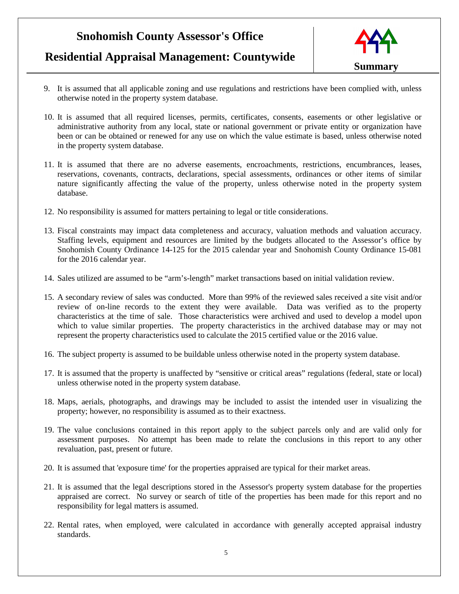# **Residential Appraisal Management: Countywide**



- 9. It is assumed that all applicable zoning and use regulations and restrictions have been complied with, unless otherwise noted in the property system database.
- 10. It is assumed that all required licenses, permits, certificates, consents, easements or other legislative or administrative authority from any local, state or national government or private entity or organization have been or can be obtained or renewed for any use on which the value estimate is based, unless otherwise noted in the property system database.
- 11. It is assumed that there are no adverse easements, encroachments, restrictions, encumbrances, leases, reservations, covenants, contracts, declarations, special assessments, ordinances or other items of similar nature significantly affecting the value of the property, unless otherwise noted in the property system database.
- 12. No responsibility is assumed for matters pertaining to legal or title considerations.
- 13. Fiscal constraints may impact data completeness and accuracy, valuation methods and valuation accuracy. Staffing levels, equipment and resources are limited by the budgets allocated to the Assessor's office by Snohomish County Ordinance 14-125 for the 2015 calendar year and Snohomish County Ordinance 15-081 for the 2016 calendar year.
- 14. Sales utilized are assumed to be "arm's-length" market transactions based on initial validation review.
- 15. A secondary review of sales was conducted. More than 99% of the reviewed sales received a site visit and/or review of on-line records to the extent they were available. Data was verified as to the property characteristics at the time of sale. Those characteristics were archived and used to develop a model upon which to value similar properties. The property characteristics in the archived database may or may not represent the property characteristics used to calculate the 2015 certified value or the 2016 value.
- 16. The subject property is assumed to be buildable unless otherwise noted in the property system database.
- 17. It is assumed that the property is unaffected by "sensitive or critical areas" regulations (federal, state or local) unless otherwise noted in the property system database.
- 18. Maps, aerials, photographs, and drawings may be included to assist the intended user in visualizing the property; however, no responsibility is assumed as to their exactness.
- 19. The value conclusions contained in this report apply to the subject parcels only and are valid only for assessment purposes. No attempt has been made to relate the conclusions in this report to any other revaluation, past, present or future.
- 20. It is assumed that 'exposure time' for the properties appraised are typical for their market areas.
- 21. It is assumed that the legal descriptions stored in the Assessor's property system database for the properties appraised are correct. No survey or search of title of the properties has been made for this report and no responsibility for legal matters is assumed.
- 22. Rental rates, when employed, were calculated in accordance with generally accepted appraisal industry standards.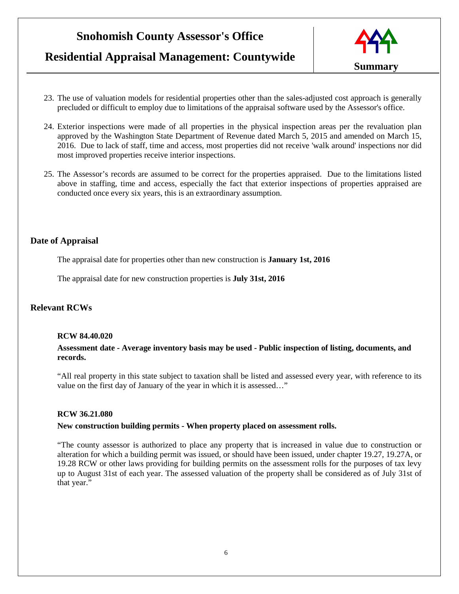**Residential Appraisal Management: Countywide**



- 23. The use of valuation models for residential properties other than the sales-adjusted cost approach is generally precluded or difficult to employ due to limitations of the appraisal software used by the Assessor's office.
- 24. Exterior inspections were made of all properties in the physical inspection areas per the revaluation plan approved by the Washington State Department of Revenue dated March 5, 2015 and amended on March 15, 2016. Due to lack of staff, time and access, most properties did not receive 'walk around' inspections nor did most improved properties receive interior inspections.
- 25. The Assessor's records are assumed to be correct for the properties appraised. Due to the limitations listed above in staffing, time and access, especially the fact that exterior inspections of properties appraised are conducted once every six years, this is an extraordinary assumption.

#### **Date of Appraisal**

The appraisal date for properties other than new construction is **January 1st, 2016**

The appraisal date for new construction properties is **July 31st, 2016**

#### **Relevant RCWs**

#### **RCW 84.40.020**

**Assessment date - Average inventory basis may be used - Public inspection of listing, documents, and records.** 

"All real property in this state subject to taxation shall be listed and assessed every year, with reference to its value on the first day of January of the year in which it is assessed…"

#### **RCW 36.21.080**

#### **New construction building permits - When property placed on assessment rolls.**

"The county assessor is authorized to place any property that is increased in value due to construction or alteration for which a building permit was issued, or should have been issued, under chapter 19.27, 19.27A, or 19.28 RCW or other laws providing for building permits on the assessment rolls for the purposes of tax levy up to August 31st of each year. The assessed valuation of the property shall be considered as of July 31st of that year."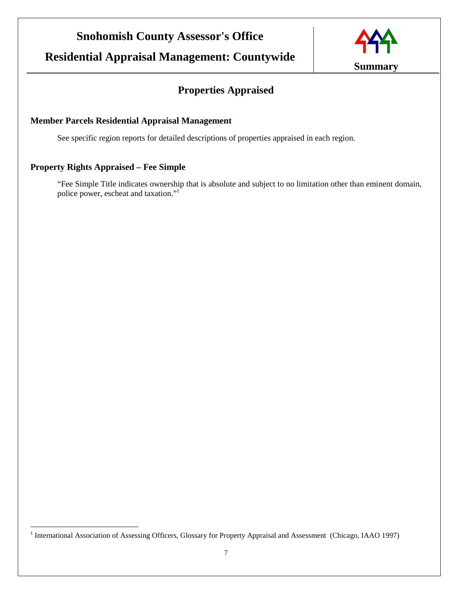

## **Properties Appraised**

### **Member Parcels Residential Appraisal Management**

See specific region reports for detailed descriptions of properties appraised in each region.

### **Property Rights Appraised – Fee Simple**

 $\overline{a}$ 

"Fee Simple Title indicates ownership that is absolute and subject to no limitation other than eminent domain, police power, escheat and taxation."<sup>1</sup>

<sup>&</sup>lt;sup>1</sup> International Association of Assessing Officers, Glossary for Property Appraisal and Assessment (Chicago, IAAO 1997)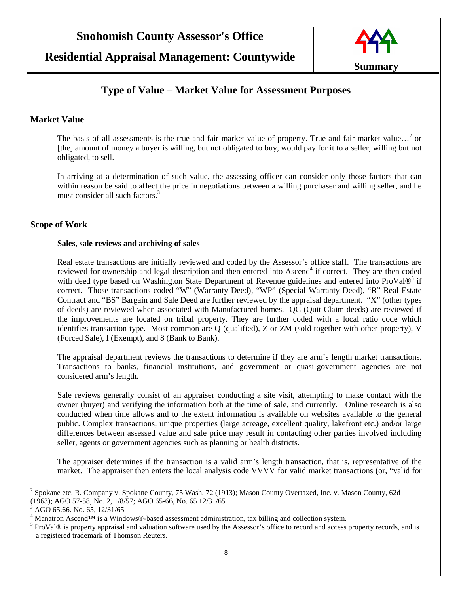

### **Type of Value – Market Value for Assessment Purposes**

#### **Market Value**

The basis of all assessments is the true and fair market value of property. True and fair market value...<sup>2</sup> or [the] amount of money a buyer is willing, but not obligated to buy, would pay for it to a seller, willing but not obligated, to sell.

In arriving at a determination of such value, the assessing officer can consider only those factors that can within reason be said to affect the price in negotiations between a willing purchaser and willing seller, and he must consider all such factors.<sup>3</sup>

#### **Scope of Work**

#### **Sales, sale reviews and archiving of sales**

Real estate transactions are initially reviewed and coded by the Assessor's office staff. The transactions are reviewed for ownership and legal description and then entered into Ascend<sup>4</sup> if correct. They are then coded with deed type based on Washington State Department of Revenue guidelines and entered into ProVal®<sup>5</sup> if correct. Those transactions coded "W" (Warranty Deed), "WP" (Special Warranty Deed), "R" Real Estate Contract and "BS" Bargain and Sale Deed are further reviewed by the appraisal department. "X" (other types of deeds) are reviewed when associated with Manufactured homes. QC (Quit Claim deeds) are reviewed if the improvements are located on tribal property. They are further coded with a local ratio code which identifies transaction type. Most common are Q (qualified), Z or ZM (sold together with other property), V (Forced Sale), I (Exempt), and 8 (Bank to Bank).

The appraisal department reviews the transactions to determine if they are arm's length market transactions. Transactions to banks, financial institutions, and government or quasi-government agencies are not considered arm's length.

Sale reviews generally consist of an appraiser conducting a site visit, attempting to make contact with the owner (buyer) and verifying the information both at the time of sale, and currently. Online research is also conducted when time allows and to the extent information is available on websites available to the general public. Complex transactions, unique properties (large acreage, excellent quality, lakefront etc.) and/or large differences between assessed value and sale price may result in contacting other parties involved including seller, agents or government agencies such as planning or health districts.

The appraiser determines if the transaction is a valid arm's length transaction, that is, representative of the market. The appraiser then enters the local analysis code VVVV for valid market transactions (or, "valid for

 $\overline{a}$ 

<sup>&</sup>lt;sup>2</sup> Spokane etc. R. Company v. Spokane County, 75 Wash. 72 (1913); Mason County Overtaxed, Inc. v. Mason County, 62d (1963); AGO 57-58, No. 2, 1/8/57; AGO 65-66, No. 65 12/31/65

 $3$  AGO 65.66. No. 65, 12/31/65

<sup>4</sup> Manatron Ascend™ is a Windows®-based assessment administration, tax billing and collection system.

<sup>&</sup>lt;sup>5</sup> ProVal® is property appraisal and valuation software used by the Assessor's office to record and access property records, and is a registered trademark of Thomson Reuters.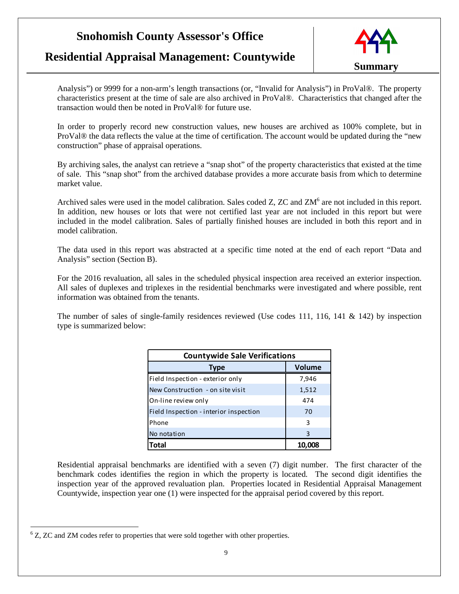### **Residential Appraisal Management: Countywide**



Analysis") or 9999 for a non-arm's length transactions (or, "Invalid for Analysis") in ProVal®. The property characteristics present at the time of sale are also archived in ProVal®. Characteristics that changed after the transaction would then be noted in ProVal® for future use.

In order to properly record new construction values, new houses are archived as 100% complete, but in ProVal® the data reflects the value at the time of certification. The account would be updated during the "new construction" phase of appraisal operations.

By archiving sales, the analyst can retrieve a "snap shot" of the property characteristics that existed at the time of sale. This "snap shot" from the archived database provides a more accurate basis from which to determine market value.

Archived sales were used in the model calibration. Sales coded Z, ZC and ZM<sup>6</sup> are not included in this report. In addition, new houses or lots that were not certified last year are not included in this report but were included in the model calibration. Sales of partially finished houses are included in both this report and in model calibration.

The data used in this report was abstracted at a specific time noted at the end of each report "Data and Analysis" section (Section B).

For the 2016 revaluation, all sales in the scheduled physical inspection area received an exterior inspection. All sales of duplexes and triplexes in the residential benchmarks were investigated and where possible, rent information was obtained from the tenants.

The number of sales of single-family residences reviewed (Use codes 111, 116, 141 & 142) by inspection type is summarized below:

| <b>Countywide Sale Verifications</b>   |               |  |
|----------------------------------------|---------------|--|
| <b>Type</b>                            | <b>Volume</b> |  |
| Field Inspection - exterior only       | 7,946         |  |
| New Construction - on site visit       | 1,512         |  |
| On-line review only                    | 474           |  |
| Field Inspection - interior inspection | 70            |  |
| Phone                                  | 3             |  |
| No notation                            | 3             |  |
| Total                                  |               |  |

Residential appraisal benchmarks are identified with a seven (7) digit number. The first character of the benchmark codes identifies the region in which the property is located. The second digit identifies the inspection year of the approved revaluation plan. Properties located in Residential Appraisal Management Countywide, inspection year one (1) were inspected for the appraisal period covered by this report.

 $\overline{a}$  $6$  Z, ZC and ZM codes refer to properties that were sold together with other properties.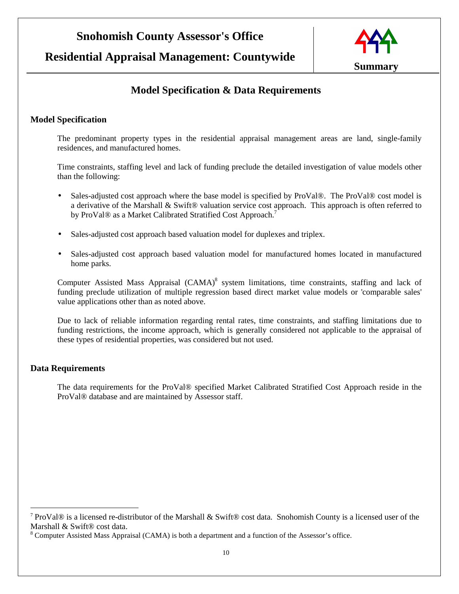

### **Model Specification & Data Requirements**

#### **Model Specification**

The predominant property types in the residential appraisal management areas are land, single-family residences, and manufactured homes.

Time constraints, staffing level and lack of funding preclude the detailed investigation of value models other than the following:

- Sales-adjusted cost approach where the base model is specified by ProVal®. The ProVal® cost model is a derivative of the Marshall & Swift® valuation service cost approach. This approach is often referred to by ProVal® as a Market Calibrated Stratified Cost Approach.<sup>7</sup>
- Sales-adjusted cost approach based valuation model for duplexes and triplex.
- Sales-adjusted cost approach based valuation model for manufactured homes located in manufactured home parks.

Computer Assisted Mass Appraisal (CAMA)<sup>8</sup> system limitations, time constraints, staffing and lack of funding preclude utilization of multiple regression based direct market value models or 'comparable sales' value applications other than as noted above.

Due to lack of reliable information regarding rental rates, time constraints, and staffing limitations due to funding restrictions, the income approach, which is generally considered not applicable to the appraisal of these types of residential properties, was considered but not used.

#### **Data Requirements**

 $\overline{a}$ 

The data requirements for the ProVal® specified Market Calibrated Stratified Cost Approach reside in the ProVal® database and are maintained by Assessor staff.

<sup>&</sup>lt;sup>7</sup> ProVal® is a licensed re-distributor of the Marshall & Swift® cost data. Snohomish County is a licensed user of the Marshall & Swift® cost data.

<sup>&</sup>lt;sup>8</sup> Computer Assisted Mass Appraisal (CAMA) is both a department and a function of the Assessor's office.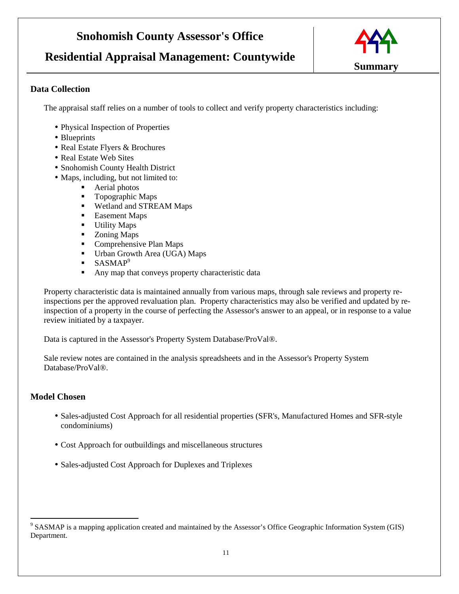# **Residential Appraisal Management: Countywide**



#### **Data Collection**

The appraisal staff relies on a number of tools to collect and verify property characteristics including:

- Physical Inspection of Properties
- Blueprints
- Real Estate Flyers & Brochures
- Real Estate Web Sites
- Snohomish County Health District
- Maps, including, but not limited to:
	- **Aerial photos**
	- Topographic Maps
	- **Wetland and STREAM Maps**
	- **Easement Maps**
	- **Utility Maps**
	- **Example 2** Zoning Maps
	- Comprehensive Plan Maps
	- Urban Growth Area (UGA) Maps
	- $\blacksquare$  SASMAP<sup>9</sup>
	- Any map that conveys property characteristic data

Property characteristic data is maintained annually from various maps, through sale reviews and property reinspections per the approved revaluation plan. Property characteristics may also be verified and updated by reinspection of a property in the course of perfecting the Assessor's answer to an appeal, or in response to a value review initiated by a taxpayer.

Data is captured in the Assessor's Property System Database/ProVal®.

Sale review notes are contained in the analysis spreadsheets and in the Assessor's Property System Database/ProVal®.

#### **Model Chosen**

 $\overline{a}$ 

- Sales-adjusted Cost Approach for all residential properties (SFR's, Manufactured Homes and SFR-style condominiums)
- Cost Approach for outbuildings and miscellaneous structures
- Sales-adjusted Cost Approach for Duplexes and Triplexes

 $9^9$  SASMAP is a mapping application created and maintained by the Assessor's Office Geographic Information System (GIS) Department.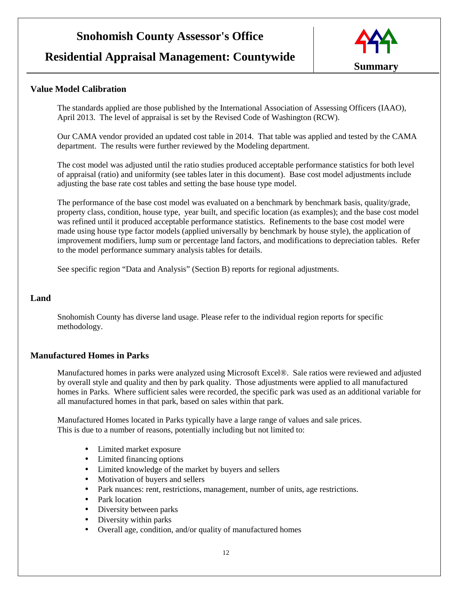### **Residential Appraisal Management: Countywide**



#### **Value Model Calibration**

The standards applied are those published by the International Association of Assessing Officers (IAAO), April 2013. The level of appraisal is set by the Revised Code of Washington (RCW).

Our CAMA vendor provided an updated cost table in 2014. That table was applied and tested by the CAMA department. The results were further reviewed by the Modeling department.

The cost model was adjusted until the ratio studies produced acceptable performance statistics for both level of appraisal (ratio) and uniformity (see tables later in this document). Base cost model adjustments include adjusting the base rate cost tables and setting the base house type model.

The performance of the base cost model was evaluated on a benchmark by benchmark basis, quality/grade, property class, condition, house type, year built, and specific location (as examples); and the base cost model was refined until it produced acceptable performance statistics. Refinements to the base cost model were made using house type factor models (applied universally by benchmark by house style), the application of improvement modifiers, lump sum or percentage land factors, and modifications to depreciation tables. Refer to the model performance summary analysis tables for details.

See specific region "Data and Analysis" (Section B) reports for regional adjustments.

#### **Land**

Snohomish County has diverse land usage. Please refer to the individual region reports for specific methodology.

#### **Manufactured Homes in Parks**

Manufactured homes in parks were analyzed using Microsoft Excel®. Sale ratios were reviewed and adjusted by overall style and quality and then by park quality. Those adjustments were applied to all manufactured homes in Parks. Where sufficient sales were recorded, the specific park was used as an additional variable for all manufactured homes in that park, based on sales within that park.

Manufactured Homes located in Parks typically have a large range of values and sale prices. This is due to a number of reasons, potentially including but not limited to:

- Limited market exposure
- Limited financing options
- Limited knowledge of the market by buyers and sellers
- Motivation of buyers and sellers
- Park nuances: rent, restrictions, management, number of units, age restrictions.
- Park location
- Diversity between parks
- Diversity within parks
- Overall age, condition, and/or quality of manufactured homes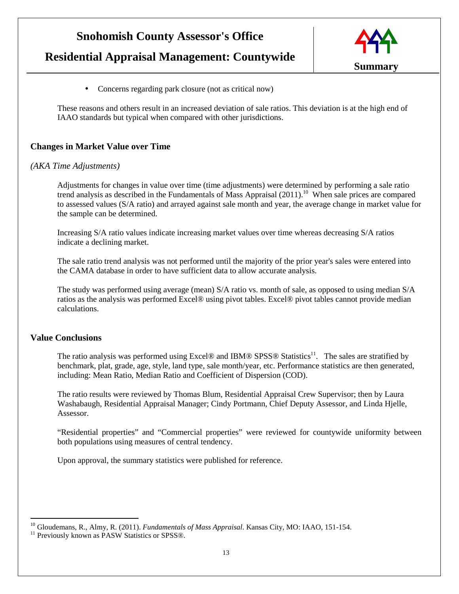# **Residential Appraisal Management: Countywide**



• Concerns regarding park closure (not as critical now)

These reasons and others result in an increased deviation of sale ratios. This deviation is at the high end of IAAO standards but typical when compared with other jurisdictions.

#### **Changes in Market Value over Time**

#### *(AKA Time Adjustments)*

Adjustments for changes in value over time (time adjustments) were determined by performing a sale ratio trend analysis as described in the Fundamentals of Mass Appraisal (2011).<sup>10</sup> When sale prices are compared to assessed values (S/A ratio) and arrayed against sale month and year, the average change in market value for the sample can be determined.

Increasing S/A ratio values indicate increasing market values over time whereas decreasing S/A ratios indicate a declining market.

The sale ratio trend analysis was not performed until the majority of the prior year's sales were entered into the CAMA database in order to have sufficient data to allow accurate analysis.

The study was performed using average (mean) S/A ratio vs. month of sale, as opposed to using median S/A ratios as the analysis was performed Excel® using pivot tables. Excel® pivot tables cannot provide median calculations.

#### **Value Conclusions**

 $\overline{a}$ 

The ratio analysis was performed using Excel® and IBM® SPSS® Statistics<sup>11</sup>. The sales are stratified by benchmark, plat, grade, age, style, land type, sale month/year, etc. Performance statistics are then generated, including: Mean Ratio, Median Ratio and Coefficient of Dispersion (COD).

The ratio results were reviewed by Thomas Blum, Residential Appraisal Crew Supervisor; then by Laura Washabaugh, Residential Appraisal Manager; Cindy Portmann, Chief Deputy Assessor, and Linda Hjelle, Assessor.

"Residential properties" and "Commercial properties" were reviewed for countywide uniformity between both populations using measures of central tendency.

Upon approval, the summary statistics were published for reference.

<sup>10</sup> Gloudemans, R., Almy, R. (2011). *Fundamentals of Mass Appraisal*. Kansas City, MO: IAAO, 151-154.

<sup>&</sup>lt;sup>11</sup> Previously known as PASW Statistics or SPSS®.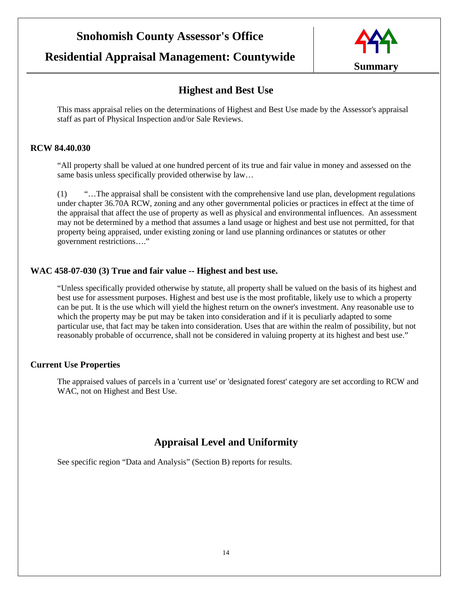### **Residential Appraisal Management: Countywide**



### **Highest and Best Use**

This mass appraisal relies on the determinations of Highest and Best Use made by the Assessor's appraisal staff as part of Physical Inspection and/or Sale Reviews.

#### **RCW 84.40.030**

"All property shall be valued at one hundred percent of its true and fair value in money and assessed on the same basis unless specifically provided otherwise by law...

(1) "…The appraisal shall be consistent with the comprehensive land use plan, development regulations under chapter 36.70A RCW, zoning and any other governmental policies or practices in effect at the time of the appraisal that affect the use of property as well as physical and environmental influences. An assessment may not be determined by a method that assumes a land usage or highest and best use not permitted, for that property being appraised, under existing zoning or land use planning ordinances or statutes or other government restrictions…."

#### **WAC 458-07-030 (3) True and fair value -- Highest and best use.**

"Unless specifically provided otherwise by statute, all property shall be valued on the basis of its highest and best use for assessment purposes. Highest and best use is the most profitable, likely use to which a property can be put. It is the use which will yield the highest return on the owner's investment. Any reasonable use to which the property may be put may be taken into consideration and if it is peculiarly adapted to some particular use, that fact may be taken into consideration. Uses that are within the realm of possibility, but not reasonably probable of occurrence, shall not be considered in valuing property at its highest and best use."

#### **Current Use Properties**

The appraised values of parcels in a 'current use' or 'designated forest' category are set according to RCW and WAC, not on Highest and Best Use.

### **Appraisal Level and Uniformity**

See specific region "Data and Analysis" (Section B) reports for results.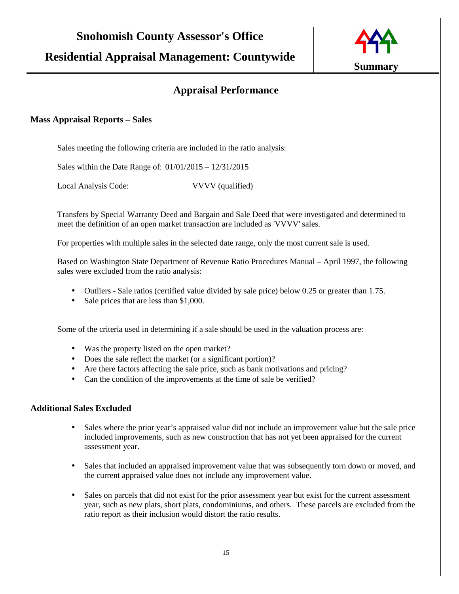**Residential Appraisal Management: Countywide**



### **Appraisal Performance**

#### **Mass Appraisal Reports – Sales**

Sales meeting the following criteria are included in the ratio analysis:

Sales within the Date Range of: 01/01/2015 – 12/31/2015

Local Analysis Code: VVVV (qualified)

Transfers by Special Warranty Deed and Bargain and Sale Deed that were investigated and determined to meet the definition of an open market transaction are included as 'VVVV' sales.

For properties with multiple sales in the selected date range, only the most current sale is used.

Based on Washington State Department of Revenue Ratio Procedures Manual – April 1997, the following sales were excluded from the ratio analysis:

- Outliers Sale ratios (certified value divided by sale price) below 0.25 or greater than 1.75.
- Sale prices that are less than \$1,000.

Some of the criteria used in determining if a sale should be used in the valuation process are:

- Was the property listed on the open market?
- Does the sale reflect the market (or a significant portion)?
- Are there factors affecting the sale price, such as bank motivations and pricing?
- Can the condition of the improvements at the time of sale be verified?

#### **Additional Sales Excluded**

- Sales where the prior year's appraised value did not include an improvement value but the sale price included improvements, such as new construction that has not yet been appraised for the current assessment year.
- Sales that included an appraised improvement value that was subsequently torn down or moved, and the current appraised value does not include any improvement value.
- Sales on parcels that did not exist for the prior assessment year but exist for the current assessment year, such as new plats, short plats, condominiums, and others. These parcels are excluded from the ratio report as their inclusion would distort the ratio results.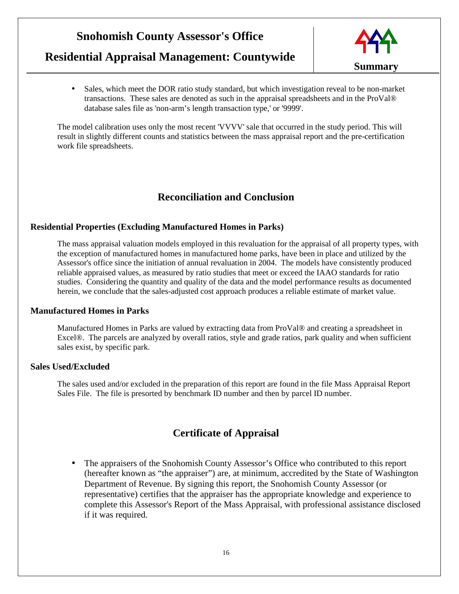## **Residential Appraisal Management: Countywide**



• Sales, which meet the DOR ratio study standard, but which investigation reveal to be non-market transactions. These sales are denoted as such in the appraisal spreadsheets and in the ProVal® database sales file as 'non-arm's length transaction type,' or '9999'.

The model calibration uses only the most recent 'VVVV' sale that occurred in the study period. This will result in slightly different counts and statistics between the mass appraisal report and the pre-certification work file spreadsheets.

### **Reconciliation and Conclusion**

#### **Residential Properties (Excluding Manufactured Homes in Parks)**

The mass appraisal valuation models employed in this revaluation for the appraisal of all property types, with the exception of manufactured homes in manufactured home parks, have been in place and utilized by the Assessor's office since the initiation of annual revaluation in 2004. The models have consistently produced reliable appraised values, as measured by ratio studies that meet or exceed the IAAO standards for ratio studies. Considering the quantity and quality of the data and the model performance results as documented herein, we conclude that the sales-adjusted cost approach produces a reliable estimate of market value.

#### **Manufactured Homes in Parks**

Manufactured Homes in Parks are valued by extracting data from ProVal® and creating a spreadsheet in Excel®. The parcels are analyzed by overall ratios, style and grade ratios, park quality and when sufficient sales exist, by specific park.

#### **Sales Used/Excluded**

The sales used and/or excluded in the preparation of this report are found in the file Mass Appraisal Report Sales File. The file is presorted by benchmark ID number and then by parcel ID number.

### **Certificate of Appraisal**

• The appraisers of the Snohomish County Assessor's Office who contributed to this report (hereafter known as "the appraiser") are, at minimum, accredited by the State of Washington Department of Revenue. By signing this report, the Snohomish County Assessor (or representative) certifies that the appraiser has the appropriate knowledge and experience to complete this Assessor's Report of the Mass Appraisal, with professional assistance disclosed if it was required.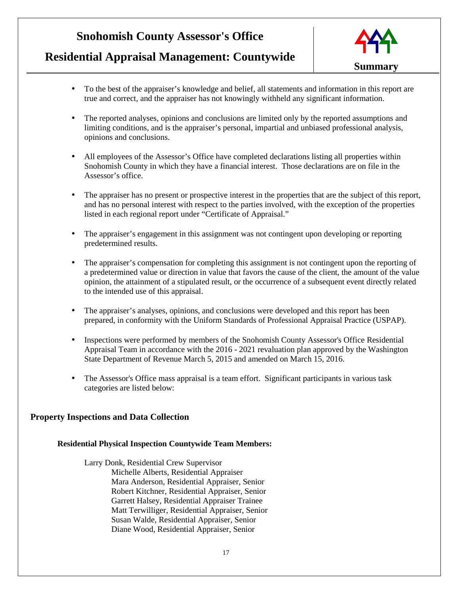# **Residential Appraisal Management: Countywide**



- To the best of the appraiser's knowledge and belief, all statements and information in this report are true and correct, and the appraiser has not knowingly withheld any significant information.
- The reported analyses, opinions and conclusions are limited only by the reported assumptions and limiting conditions, and is the appraiser's personal, impartial and unbiased professional analysis, opinions and conclusions.
- All employees of the Assessor's Office have completed declarations listing all properties within Snohomish County in which they have a financial interest. Those declarations are on file in the Assessor's office.
- The appraiser has no present or prospective interest in the properties that are the subject of this report, and has no personal interest with respect to the parties involved, with the exception of the properties listed in each regional report under "Certificate of Appraisal."
- The appraiser's engagement in this assignment was not contingent upon developing or reporting predetermined results.
- The appraiser's compensation for completing this assignment is not contingent upon the reporting of a predetermined value or direction in value that favors the cause of the client, the amount of the value opinion, the attainment of a stipulated result, or the occurrence of a subsequent event directly related to the intended use of this appraisal.
- The appraiser's analyses, opinions, and conclusions were developed and this report has been prepared, in conformity with the Uniform Standards of Professional Appraisal Practice (USPAP).
- Inspections were performed by members of the Snohomish County Assessor's Office Residential Appraisal Team in accordance with the 2016 - 2021 revaluation plan approved by the Washington State Department of Revenue March 5, 2015 and amended on March 15, 2016.
- The Assessor's Office mass appraisal is a team effort. Significant participants in various task categories are listed below:

#### **Property Inspections and Data Collection**

#### **Residential Physical Inspection Countywide Team Members:**

Larry Donk, Residential Crew Supervisor Michelle Alberts, Residential Appraiser Mara Anderson, Residential Appraiser, Senior Robert Kitchner, Residential Appraiser, Senior Garrett Halsey, Residential Appraiser Trainee Matt Terwilliger, Residential Appraiser, Senior Susan Walde, Residential Appraiser, Senior Diane Wood, Residential Appraiser, Senior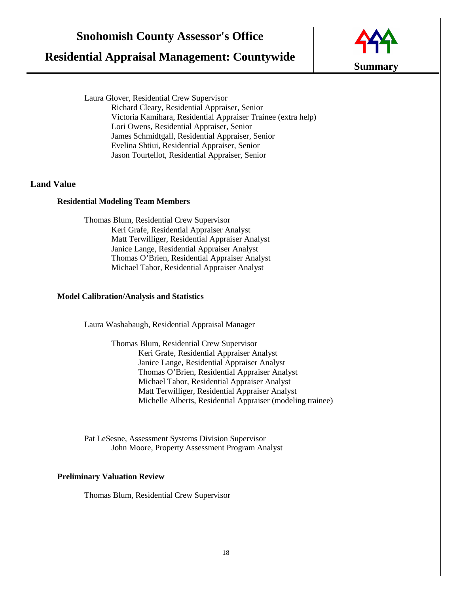### **Residential Appraisal Management: Countywide**



Laura Glover, Residential Crew Supervisor Richard Cleary, Residential Appraiser, Senior Victoria Kamihara, Residential Appraiser Trainee (extra help) Lori Owens, Residential Appraiser, Senior James Schmidtgall, Residential Appraiser, Senior Evelina Shtiui, Residential Appraiser, Senior Jason Tourtellot, Residential Appraiser, Senior

#### **Land Value**

#### **Residential Modeling Team Members**

Thomas Blum, Residential Crew Supervisor Keri Grafe, Residential Appraiser Analyst Matt Terwilliger, Residential Appraiser Analyst Janice Lange, Residential Appraiser Analyst Thomas O'Brien, Residential Appraiser Analyst Michael Tabor, Residential Appraiser Analyst

#### **Model Calibration/Analysis and Statistics**

Laura Washabaugh, Residential Appraisal Manager

Thomas Blum, Residential Crew Supervisor Keri Grafe, Residential Appraiser Analyst Janice Lange, Residential Appraiser Analyst Thomas O'Brien, Residential Appraiser Analyst Michael Tabor, Residential Appraiser Analyst Matt Terwilliger, Residential Appraiser Analyst Michelle Alberts, Residential Appraiser (modeling trainee)

Pat LeSesne, Assessment Systems Division Supervisor John Moore, Property Assessment Program Analyst

#### **Preliminary Valuation Review**

Thomas Blum, Residential Crew Supervisor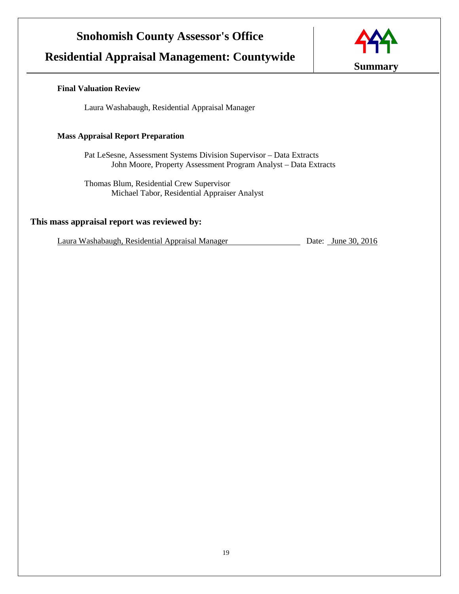## **Residential Appraisal Management: Countywide**



#### **Final Valuation Review**

Laura Washabaugh, Residential Appraisal Manager

#### **Mass Appraisal Report Preparation**

Pat LeSesne, Assessment Systems Division Supervisor – Data Extracts John Moore, Property Assessment Program Analyst – Data Extracts

Thomas Blum, Residential Crew Supervisor Michael Tabor, Residential Appraiser Analyst

#### **This mass appraisal report was reviewed by:**

Laura Washabaugh, Residential Appraisal Manager Date: June 30, 2016